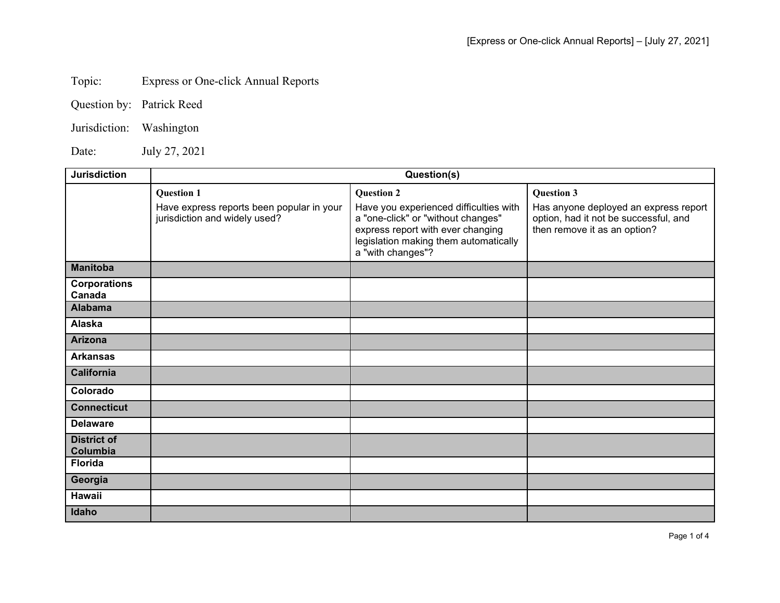## Topic: Express or One-click Annual Reports

|  | Question by: Patrick Reed |
|--|---------------------------|
|--|---------------------------|

Jurisdiction: Washington

Date: July 27, 2021

| <b>Jurisdiction</b>            | Question(s)                                                                |                                                                                                                                                                                 |                                                                                                                |  |
|--------------------------------|----------------------------------------------------------------------------|---------------------------------------------------------------------------------------------------------------------------------------------------------------------------------|----------------------------------------------------------------------------------------------------------------|--|
|                                | <b>Question 1</b>                                                          | <b>Question 2</b>                                                                                                                                                               | <b>Question 3</b>                                                                                              |  |
|                                | Have express reports been popular in your<br>jurisdiction and widely used? | Have you experienced difficulties with<br>a "one-click" or "without changes"<br>express report with ever changing<br>legislation making them automatically<br>a "with changes"? | Has anyone deployed an express report<br>option, had it not be successful, and<br>then remove it as an option? |  |
| <b>Manitoba</b>                |                                                                            |                                                                                                                                                                                 |                                                                                                                |  |
| <b>Corporations</b><br>Canada  |                                                                            |                                                                                                                                                                                 |                                                                                                                |  |
| <b>Alabama</b>                 |                                                                            |                                                                                                                                                                                 |                                                                                                                |  |
| <b>Alaska</b>                  |                                                                            |                                                                                                                                                                                 |                                                                                                                |  |
| <b>Arizona</b>                 |                                                                            |                                                                                                                                                                                 |                                                                                                                |  |
| <b>Arkansas</b>                |                                                                            |                                                                                                                                                                                 |                                                                                                                |  |
| California                     |                                                                            |                                                                                                                                                                                 |                                                                                                                |  |
| Colorado                       |                                                                            |                                                                                                                                                                                 |                                                                                                                |  |
| <b>Connecticut</b>             |                                                                            |                                                                                                                                                                                 |                                                                                                                |  |
| <b>Delaware</b>                |                                                                            |                                                                                                                                                                                 |                                                                                                                |  |
| <b>District of</b><br>Columbia |                                                                            |                                                                                                                                                                                 |                                                                                                                |  |
| <b>Florida</b>                 |                                                                            |                                                                                                                                                                                 |                                                                                                                |  |
| Georgia                        |                                                                            |                                                                                                                                                                                 |                                                                                                                |  |
| Hawaii                         |                                                                            |                                                                                                                                                                                 |                                                                                                                |  |
| Idaho                          |                                                                            |                                                                                                                                                                                 |                                                                                                                |  |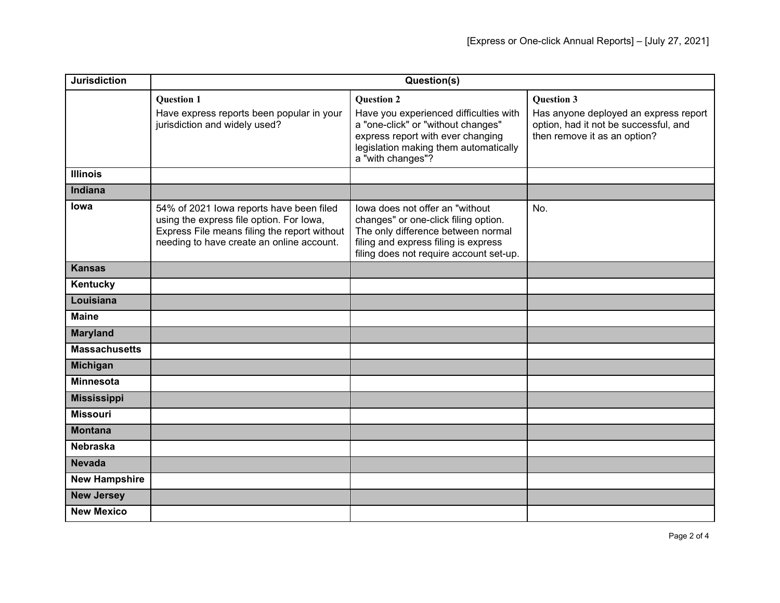| <b>Jurisdiction</b>  | Question(s)                                                                                                                                                                       |                                                                                                                                                                                                      |                                                                                                                                     |
|----------------------|-----------------------------------------------------------------------------------------------------------------------------------------------------------------------------------|------------------------------------------------------------------------------------------------------------------------------------------------------------------------------------------------------|-------------------------------------------------------------------------------------------------------------------------------------|
|                      | <b>Question 1</b><br>Have express reports been popular in your<br>jurisdiction and widely used?                                                                                   | <b>Question 2</b><br>Have you experienced difficulties with<br>a "one-click" or "without changes"<br>express report with ever changing<br>legislation making them automatically<br>a "with changes"? | <b>Question 3</b><br>Has anyone deployed an express report<br>option, had it not be successful, and<br>then remove it as an option? |
| <b>Illinois</b>      |                                                                                                                                                                                   |                                                                                                                                                                                                      |                                                                                                                                     |
| Indiana              |                                                                                                                                                                                   |                                                                                                                                                                                                      |                                                                                                                                     |
| lowa                 | 54% of 2021 lowa reports have been filed<br>using the express file option. For lowa,<br>Express File means filing the report without<br>needing to have create an online account. | lowa does not offer an "without<br>changes" or one-click filing option.<br>The only difference between normal<br>filing and express filing is express<br>filing does not require account set-up.     | No.                                                                                                                                 |
| <b>Kansas</b>        |                                                                                                                                                                                   |                                                                                                                                                                                                      |                                                                                                                                     |
| Kentucky             |                                                                                                                                                                                   |                                                                                                                                                                                                      |                                                                                                                                     |
| Louisiana            |                                                                                                                                                                                   |                                                                                                                                                                                                      |                                                                                                                                     |
| <b>Maine</b>         |                                                                                                                                                                                   |                                                                                                                                                                                                      |                                                                                                                                     |
| <b>Maryland</b>      |                                                                                                                                                                                   |                                                                                                                                                                                                      |                                                                                                                                     |
| <b>Massachusetts</b> |                                                                                                                                                                                   |                                                                                                                                                                                                      |                                                                                                                                     |
| <b>Michigan</b>      |                                                                                                                                                                                   |                                                                                                                                                                                                      |                                                                                                                                     |
| <b>Minnesota</b>     |                                                                                                                                                                                   |                                                                                                                                                                                                      |                                                                                                                                     |
| <b>Mississippi</b>   |                                                                                                                                                                                   |                                                                                                                                                                                                      |                                                                                                                                     |
| <b>Missouri</b>      |                                                                                                                                                                                   |                                                                                                                                                                                                      |                                                                                                                                     |
| <b>Montana</b>       |                                                                                                                                                                                   |                                                                                                                                                                                                      |                                                                                                                                     |
| <b>Nebraska</b>      |                                                                                                                                                                                   |                                                                                                                                                                                                      |                                                                                                                                     |
| <b>Nevada</b>        |                                                                                                                                                                                   |                                                                                                                                                                                                      |                                                                                                                                     |
| <b>New Hampshire</b> |                                                                                                                                                                                   |                                                                                                                                                                                                      |                                                                                                                                     |
| <b>New Jersey</b>    |                                                                                                                                                                                   |                                                                                                                                                                                                      |                                                                                                                                     |
| <b>New Mexico</b>    |                                                                                                                                                                                   |                                                                                                                                                                                                      |                                                                                                                                     |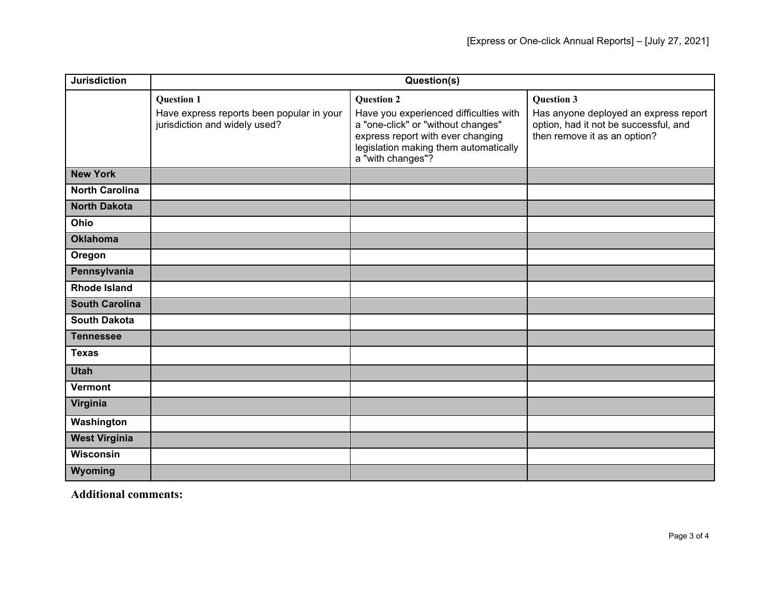| <b>Jurisdiction</b>   | Question(s)                                                                |                                                                                                                                                                                 |                                                                                                                |
|-----------------------|----------------------------------------------------------------------------|---------------------------------------------------------------------------------------------------------------------------------------------------------------------------------|----------------------------------------------------------------------------------------------------------------|
|                       | <b>Question 1</b>                                                          | <b>Question 2</b>                                                                                                                                                               | <b>Question 3</b>                                                                                              |
|                       | Have express reports been popular in your<br>jurisdiction and widely used? | Have you experienced difficulties with<br>a "one-click" or "without changes"<br>express report with ever changing<br>legislation making them automatically<br>a "with changes"? | Has anyone deployed an express report<br>option, had it not be successful, and<br>then remove it as an option? |
| <b>New York</b>       |                                                                            |                                                                                                                                                                                 |                                                                                                                |
| <b>North Carolina</b> |                                                                            |                                                                                                                                                                                 |                                                                                                                |
| <b>North Dakota</b>   |                                                                            |                                                                                                                                                                                 |                                                                                                                |
| <b>Ohio</b>           |                                                                            |                                                                                                                                                                                 |                                                                                                                |
| <b>Oklahoma</b>       |                                                                            |                                                                                                                                                                                 |                                                                                                                |
| Oregon                |                                                                            |                                                                                                                                                                                 |                                                                                                                |
| Pennsylvania          |                                                                            |                                                                                                                                                                                 |                                                                                                                |
| <b>Rhode Island</b>   |                                                                            |                                                                                                                                                                                 |                                                                                                                |
| <b>South Carolina</b> |                                                                            |                                                                                                                                                                                 |                                                                                                                |
| <b>South Dakota</b>   |                                                                            |                                                                                                                                                                                 |                                                                                                                |
| <b>Tennessee</b>      |                                                                            |                                                                                                                                                                                 |                                                                                                                |
| <b>Texas</b>          |                                                                            |                                                                                                                                                                                 |                                                                                                                |
| <b>Utah</b>           |                                                                            |                                                                                                                                                                                 |                                                                                                                |
| Vermont               |                                                                            |                                                                                                                                                                                 |                                                                                                                |
| Virginia              |                                                                            |                                                                                                                                                                                 |                                                                                                                |
| Washington            |                                                                            |                                                                                                                                                                                 |                                                                                                                |
| <b>West Virginia</b>  |                                                                            |                                                                                                                                                                                 |                                                                                                                |
| Wisconsin             |                                                                            |                                                                                                                                                                                 |                                                                                                                |
| Wyoming               |                                                                            |                                                                                                                                                                                 |                                                                                                                |

**Additional comments:**